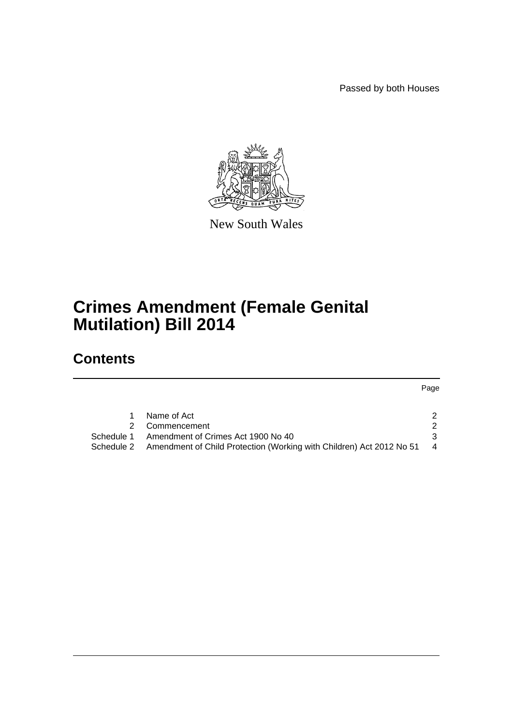Passed by both Houses



New South Wales

## **Crimes Amendment (Female Genital Mutilation) Bill 2014**

## **Contents**

Page

|            | Name of Act                                                          |                |
|------------|----------------------------------------------------------------------|----------------|
|            | 2 Commencement                                                       |                |
| Schedule 1 | Amendment of Crimes Act 1900 No 40                                   |                |
| Schedule 2 | Amendment of Child Protection (Working with Children) Act 2012 No 51 | $\overline{4}$ |
|            |                                                                      |                |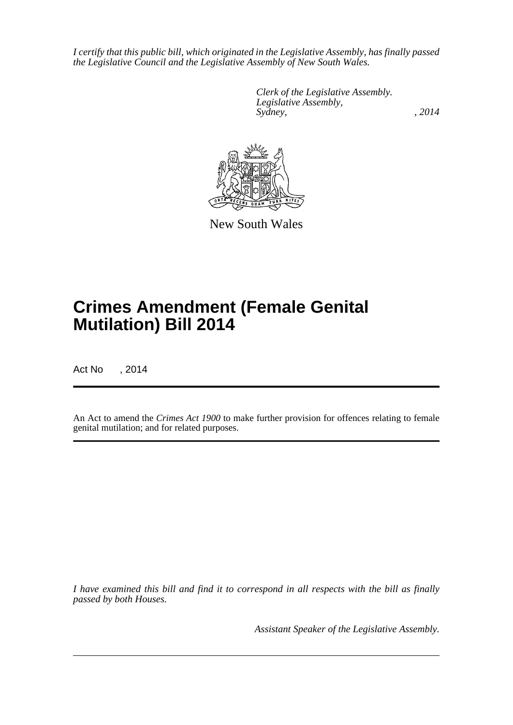*I certify that this public bill, which originated in the Legislative Assembly, has finally passed the Legislative Council and the Legislative Assembly of New South Wales.*

> *Clerk of the Legislative Assembly. Legislative Assembly, Sydney,* , 2014



New South Wales

# **Crimes Amendment (Female Genital Mutilation) Bill 2014**

Act No , 2014

An Act to amend the *Crimes Act 1900* to make further provision for offences relating to female genital mutilation; and for related purposes.

*I have examined this bill and find it to correspond in all respects with the bill as finally passed by both Houses.*

*Assistant Speaker of the Legislative Assembly.*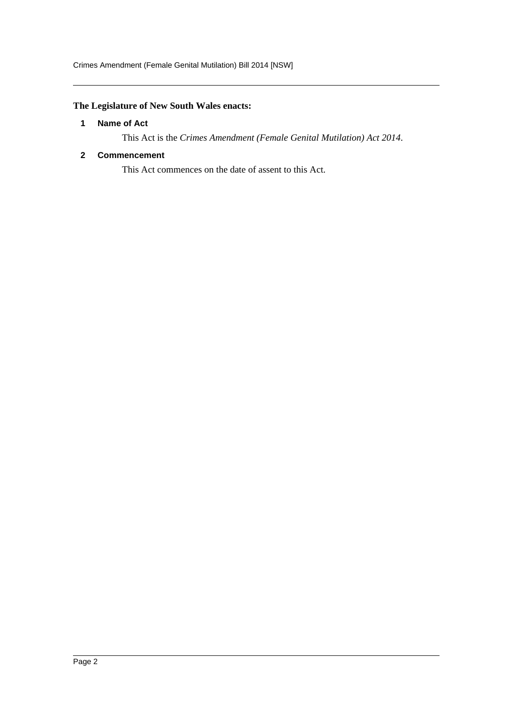### <span id="page-2-0"></span>**The Legislature of New South Wales enacts:**

#### **1 Name of Act**

This Act is the *Crimes Amendment (Female Genital Mutilation) Act 2014*.

#### <span id="page-2-1"></span>**2 Commencement**

This Act commences on the date of assent to this Act.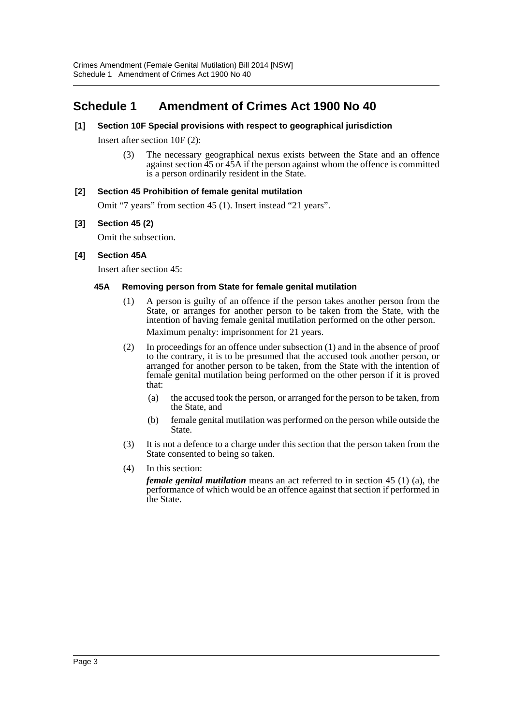### <span id="page-3-0"></span>**Schedule 1 Amendment of Crimes Act 1900 No 40**

#### **[1] Section 10F Special provisions with respect to geographical jurisdiction**

Insert after section 10F (2):

(3) The necessary geographical nexus exists between the State and an offence against section 45 or 45A if the person against whom the offence is committed is a person ordinarily resident in the State.

#### **[2] Section 45 Prohibition of female genital mutilation**

Omit "7 years" from section 45 (1). Insert instead "21 years".

#### **[3] Section 45 (2)**

Omit the subsection.

#### **[4] Section 45A**

Insert after section 45:

#### **45A Removing person from State for female genital mutilation**

- (1) A person is guilty of an offence if the person takes another person from the State, or arranges for another person to be taken from the State, with the intention of having female genital mutilation performed on the other person. Maximum penalty: imprisonment for 21 years.
- (2) In proceedings for an offence under subsection (1) and in the absence of proof to the contrary, it is to be presumed that the accused took another person, or arranged for another person to be taken, from the State with the intention of female genital mutilation being performed on the other person if it is proved that:
	- (a) the accused took the person, or arranged for the person to be taken, from the State, and
	- (b) female genital mutilation was performed on the person while outside the State.
- (3) It is not a defence to a charge under this section that the person taken from the State consented to being so taken.
- (4) In this section:

*female genital mutilation* means an act referred to in section 45 (1) (a), the performance of which would be an offence against that section if performed in the State.